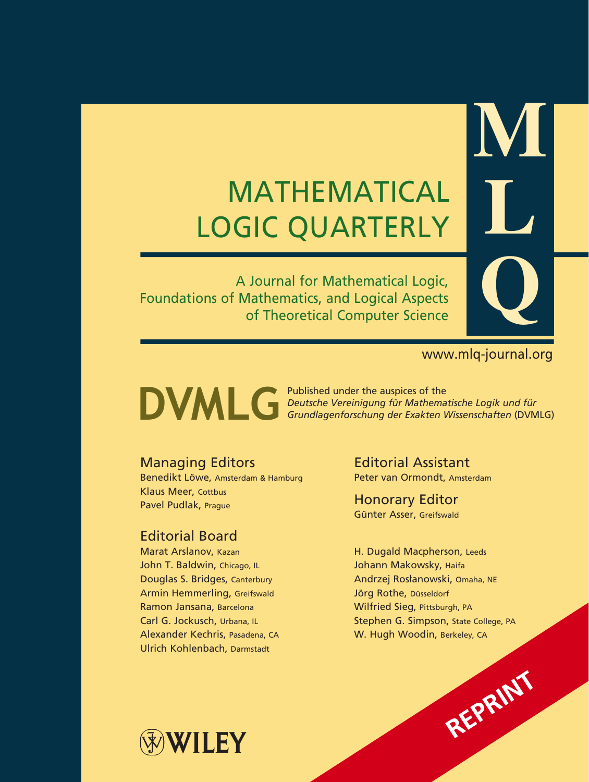# MATHEMATICAL LOGIC QUARTERLY

A Journal for Mathematical Logic, Foundations of Mathematics, and Logical Aspects of Theoretical Computer Science

# www.mlq-journal.org

**REPRINT**

**M**

**L**

**Q**

Published under the auspices of the **DUMLG** Published under the auspices of the<br>*Grundlagenforschung der Exakten Wissenschaften (DVM Grundlagenforschung der Exakten Wissenschaften* (DVMLG)

# Managing Editors

Benedikt Löwe, Amsterdam & Hamburg Klaus Meer, Cottbus Pavel Pudlak, Prague

# Editorial Board

Marat Arslanov, Kazan John T. Baldwin, Chicago, IL Douglas S. Bridges, Canterbury Armin Hemmerling, Greifswald Ramon Jansana, Barcelona Carl G. Jockusch, Urbana, IL Alexander Kechris, Pasadena, CA Ulrich Kohlenbach, Darmstadt

Editorial Assistant Peter van Ormondt, Amsterdam

Honorary Editor Günter Asser, Greifswald

H. Dugald Macpherson, Leeds Johann Makowsky, Haifa Andrzej Rosłanowski, Omaha, NE Jörg Rothe, Düsseldorf Wilfried Sieg, Pittsburgh, PA Stephen G. Simpson, State College, PA W. Hugh Woodin, Berkeley, CA

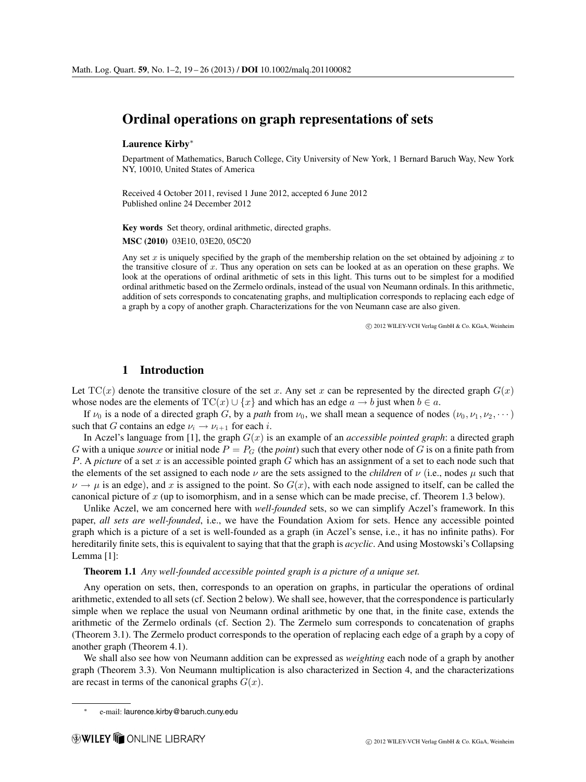## **Ordinal operations on graph representations of sets**

#### **Laurence Kirby**<sup>∗</sup>

Department of Mathematics, Baruch College, City University of New York, 1 Bernard Baruch Way, New York NY, 10010, United States of America

Received 4 October 2011, revised 1 June 2012, accepted 6 June 2012 Published online 24 December 2012

**Key words** Set theory, ordinal arithmetic, directed graphs.

**MSC (2010)** 03E10, 03E20, 05C20

Any set x is uniquely specified by the graph of the membership relation on the set obtained by adjoining x to the transitive closure of x. Thus any operation on sets can be looked at as an operation on these graphs. We look at the operations of ordinal arithmetic of sets in this light. This turns out to be simplest for a modified ordinal arithmetic based on the Zermelo ordinals, instead of the usual von Neumann ordinals. In this arithmetic, addition of sets corresponds to concatenating graphs, and multiplication corresponds to replacing each edge of a graph by a copy of another graph. Characterizations for the von Neumann case are also given.

 $\circled{c}$  2012 WILEY-VCH Verlag GmbH & Co. KGaA, Weinheim

#### **1 Introduction**

Let  $TC(x)$  denote the transitive closure of the set x. Any set x can be represented by the directed graph  $G(x)$ whose nodes are the elements of  $TC(x) \cup \{x\}$  and which has an edge  $a \to b$  just when  $b \in a$ .

If  $\nu_0$  is a node of a directed graph G, by a *path* from  $\nu_0$ , we shall mean a sequence of nodes  $(\nu_0, \nu_1, \nu_2, \dots)$ such that G contains an edge  $\nu_i \rightarrow \nu_{i+1}$  for each *i*.

In Aczel's language from [1], the graph  $G(x)$  is an example of an *accessible pointed graph*: a directed graph G with a unique *source* or initial node  $P = P_G$  (the *point*) such that every other node of G is on a finite path from P. A *picture* of a set  $x$  is an accessible pointed graph  $G$  which has an assignment of a set to each node such that the elements of the set assigned to each node  $\nu$  are the sets assigned to the *children* of  $\nu$  (i.e., nodes  $\mu$  such that  $\nu \rightarrow \mu$  is an edge), and x is assigned to the point. So  $G(x)$ , with each node assigned to itself, can be called the canonical picture of x (up to isomorphism, and in a sense which can be made precise, cf. Theorem 1.3 below).

Unlike Aczel, we am concerned here with *well-founded* sets, so we can simplify Aczel's framework. In this paper, *all sets are well-founded*, i.e., we have the Foundation Axiom for sets. Hence any accessible pointed graph which is a picture of a set is well-founded as a graph (in Aczel's sense, i.e., it has no infinite paths). For hereditarily finite sets, this is equivalent to saying that that the graph is *acyclic*. And using Mostowski's Collapsing Lemma [1]:

#### **Theorem 1.1** *Any well-founded accessible pointed graph is a picture of a unique set.*

Any operation on sets, then, corresponds to an operation on graphs, in particular the operations of ordinal arithmetic, extended to all sets (cf. Section 2 below). We shall see, however, that the correspondence is particularly simple when we replace the usual von Neumann ordinal arithmetic by one that, in the finite case, extends the arithmetic of the Zermelo ordinals (cf. Section 2). The Zermelo sum corresponds to concatenation of graphs (Theorem 3.1). The Zermelo product corresponds to the operation of replacing each edge of a graph by a copy of another graph (Theorem 4.1).

We shall also see how von Neumann addition can be expressed as *weighting* each node of a graph by another graph (Theorem 3.3). Von Neumann multiplication is also characterized in Section 4, and the characterizations are recast in terms of the canonical graphs  $G(x)$ .

e-mail: laurence.kirby@baruch.cuny.edu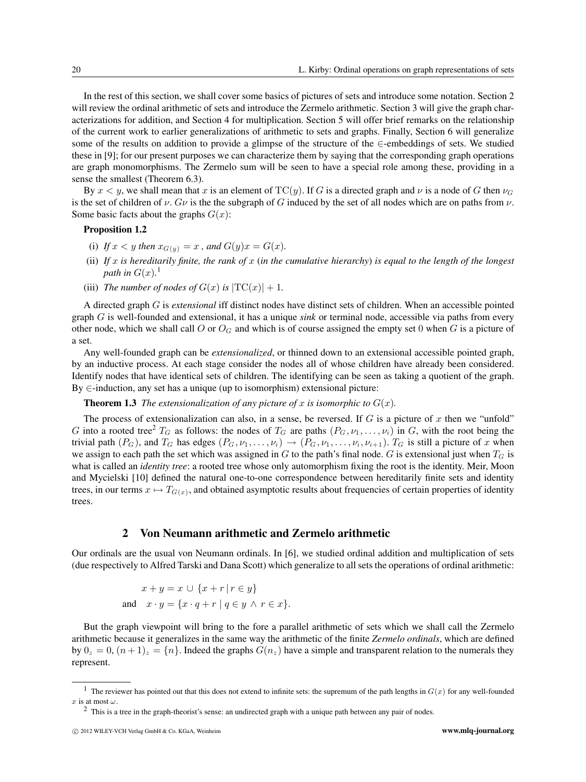In the rest of this section, we shall cover some basics of pictures of sets and introduce some notation. Section 2 will review the ordinal arithmetic of sets and introduce the Zermelo arithmetic. Section 3 will give the graph characterizations for addition, and Section 4 for multiplication. Section 5 will offer brief remarks on the relationship of the current work to earlier generalizations of arithmetic to sets and graphs. Finally, Section 6 will generalize some of the results on addition to provide a glimpse of the structure of the ∈-embeddings of sets. We studied these in [9]; for our present purposes we can characterize them by saying that the corresponding graph operations are graph monomorphisms. The Zermelo sum will be seen to have a special role among these, providing in a sense the smallest (Theorem 6.3).

By  $x < y$ , we shall mean that x is an element of TC(y). If G is a directed graph and v is a node of G then  $\nu_G$ is the set of children of  $\nu$ . G $\nu$  is the the subgraph of G induced by the set of all nodes which are on paths from  $\nu$ . Some basic facts about the graphs  $G(x)$ :

#### **Proposition 1.2**

- (i) *If*  $x < y$  *then*  $x_{G(y)} = x$ *, and*  $G(y)x = G(x)$ *.*
- (ii) *If* x *is hereditarily finite, the rank of* x (*in the cumulative hierarchy*) *is equal to the length of the longest path in*  $G(x)$ .<sup>1</sup>
- (iii) *The number of nodes of*  $G(x)$  *is*  $|TC(x)| + 1$ *.*

A directed graph G is *extensional* iff distinct nodes have distinct sets of children. When an accessible pointed graph G is well-founded and extensional, it has a unique *sink* or terminal node, accessible via paths from every other node, which we shall call O or  $O_G$  and which is of course assigned the empty set 0 when G is a picture of a set.

Any well-founded graph can be *extensionalized*, or thinned down to an extensional accessible pointed graph, by an inductive process. At each stage consider the nodes all of whose children have already been considered. Identify nodes that have identical sets of children. The identifying can be seen as taking a quotient of the graph.  $By \in$ -induction, any set has a unique (up to isomorphism) extensional picture:

#### **Theorem 1.3** *The extensionalization of any picture of* x *is isomorphic to*  $G(x)$ *.*

The process of extensionalization can also, in a sense, be reversed. If  $G$  is a picture of  $x$  then we "unfold" G into a rooted tree<sup>2</sup>  $T_G$  as follows: the nodes of  $T_G$  are paths  $(P_G, \nu_1, \ldots, \nu_i)$  in G, with the root being the trivial path  $(P_G)$ , and  $T_G$  has edges  $(P_G, \nu_1, \ldots, \nu_i) \rightarrow (P_G, \nu_1, \ldots, \nu_i, \nu_{i+1})$ .  $T_G$  is still a picture of x when we assign to each path the set which was assigned in G to the path's final node. G is extensional just when  $T_G$  is what is called an *identity tree*: a rooted tree whose only automorphism fixing the root is the identity. Meir, Moon and Mycielski [10] defined the natural one-to-one correspondence between hereditarily finite sets and identity trees, in our terms  $x \mapsto T_{G(x)}$ , and obtained asymptotic results about frequencies of certain properties of identity trees.

#### **2 Von Neumann arithmetic and Zermelo arithmetic**

Our ordinals are the usual von Neumann ordinals. In [6], we studied ordinal addition and multiplication of sets (due respectively to Alfred Tarski and Dana Scott) which generalize to all sets the operations of ordinal arithmetic:

$$
x + y = x \cup \{x + r \mid r \in y\}
$$
  
and 
$$
x \cdot y = \{x \cdot q + r \mid q \in y \land r \in x\}.
$$

But the graph viewpoint will bring to the fore a parallel arithmetic of sets which we shall call the Zermelo arithmetic because it generalizes in the same way the arithmetic of the finite *Zermelo ordinals*, which are defined by  $0_z = 0$ ,  $(n+1)_z = \{n\}$ . Indeed the graphs  $G(n_z)$  have a simple and transparent relation to the numerals they represent.

<sup>&</sup>lt;sup>1</sup> The reviewer has pointed out that this does not extend to infinite sets: the supremum of the path lengths in  $G(x)$  for any well-founded x is at most  $\omega$ .

 $2$  This is a tree in the graph-theorist's sense: an undirected graph with a unique path between any pair of nodes.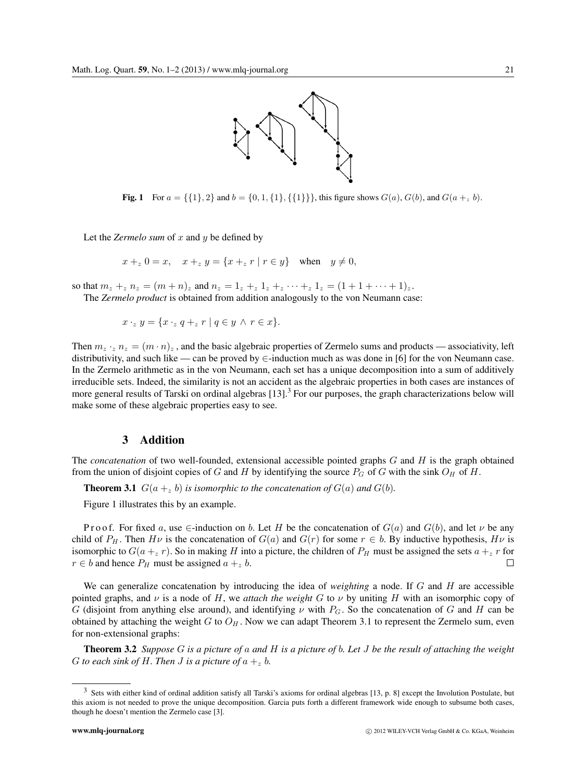

**Fig. 1** For  $a = \{\{1\}, 2\}$  and  $b = \{0, 1, \{1\}, \{\{1\}\}\}\$ , this figure shows  $G(a)$ ,  $G(b)$ , and  $G(a +_z b)$ .

Let the *Zermelo sum* of x and y be defined by

$$
x +_{z} 0 = x
$$
,  $x +_{z} y = \{x +_{z} r | r \in y\}$  when  $y \neq 0$ ,

so that  $m_z + z n_z = (m + n)z$  and  $n_z = 1_z + z_1 + z_2 + \cdots + z_1 = (1 + 1 + \cdots + 1)z$ .

The *Zermelo product* is obtained from addition analogously to the von Neumann case:

$$
x \cdot_z y = \{x \cdot_z q +_z r \mid q \in y \land r \in x\}.
$$

Then  $m_z \cdot_z n_z = (m \cdot n)_z$ , and the basic algebraic properties of Zermelo sums and products — associativity, left distributivity, and such like — can be proved by  $\in$ -induction much as was done in [6] for the von Neumann case. In the Zermelo arithmetic as in the von Neumann, each set has a unique decomposition into a sum of additively irreducible sets. Indeed, the similarity is not an accident as the algebraic properties in both cases are instances of more general results of Tarski on ordinal algebras  $[13]$ .<sup>3</sup> For our purposes, the graph characterizations below will make some of these algebraic properties easy to see.

### **3 Addition**

The *concatenation* of two well-founded, extensional accessible pointed graphs G and H is the graph obtained from the union of disjoint copies of G and H by identifying the source  $P_G$  of G with the sink  $O_H$  of H.

**Theorem 3.1**  $G(a +_z b)$  *is isomorphic to the concatenation of*  $G(a)$  *and*  $G(b)$ *.* 

Figure 1 illustrates this by an example.

P r o o f. For fixed a, use  $\in$ -induction on b. Let H be the concatenation of  $G(a)$  and  $G(b)$ , and let  $\nu$  be any child of  $P_H$ . Then  $H\nu$  is the concatenation of  $G(a)$  and  $G(r)$  for some  $r \in b$ . By inductive hypothesis,  $H\nu$  is isomorphic to  $G(a + z r)$ . So in making H into a picture, the children of  $P_H$  must be assigned the sets  $a + z r$  for  $r \in b$  and hence  $P_H$  must be assigned  $a + z b$ .  $\Box$ 

We can generalize concatenation by introducing the idea of *weighting* a node. If G and H are accessible pointed graphs, and  $\nu$  is a node of H, we *attach the weight* G to  $\nu$  by uniting H with an isomorphic copy of G (disjoint from anything else around), and identifying  $\nu$  with  $P_G$ . So the concatenation of G and H can be obtained by attaching the weight G to  $O_H$ . Now we can adapt Theorem 3.1 to represent the Zermelo sum, even for non-extensional graphs:

**Theorem 3.2** *Suppose* G *is a picture of* a *and* H *is a picture of* b*. Let* J *be the result of attaching the weight* G *to each sink of H. Then J is a picture of*  $a + z$  *b.* 

<sup>&</sup>lt;sup>3</sup> Sets with either kind of ordinal addition satisfy all Tarski's axioms for ordinal algebras [13, p. 8] except the Involution Postulate, but this axiom is not needed to prove the unique decomposition. Garcia puts forth a different framework wide enough to subsume both cases, though he doesn't mention the Zermelo case [3].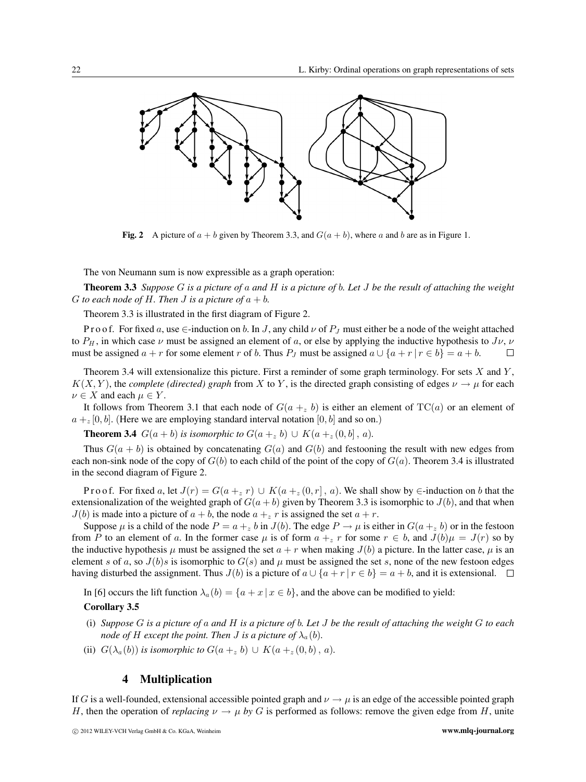

**Fig. 2** A picture of  $a + b$  given by Theorem 3.3, and  $G(a + b)$ , where a and b are as in Figure 1.

The von Neumann sum is now expressible as a graph operation:

**Theorem 3.3** *Suppose* G *is a picture of* a *and* H *is a picture of* b*. Let* J *be the result of attaching the weight* G to each node of H. Then *J* is a picture of  $a + b$ .

Theorem 3.3 is illustrated in the first diagram of Figure 2.

P r o o f. For fixed a, use  $\in$ -induction on b. In J, any child  $\nu$  of  $P_J$  must either be a node of the weight attached to  $P_H$ , in which case  $\nu$  must be assigned an element of a, or else by applying the inductive hypothesis to  $J\nu$ ,  $\nu$ must be assigned  $a + r$  for some element r of b. Thus  $P_J$  must be assigned  $a \cup \{a + r | r \in b\} = a + b$ .  $\Box$ 

Theorem 3.4 will extensionalize this picture. First a reminder of some graph terminology. For sets  $X$  and  $Y$ ,  $K(X, Y)$ , the *complete (directed) graph* from X to Y, is the directed graph consisting of edges  $\nu \rightarrow \mu$  for each  $\nu \in X$  and each  $\mu \in Y$ .

It follows from Theorem 3.1 that each node of  $G(a +_z b)$  is either an element of  $TC(a)$  or an element of  $a + z [0, b]$ . (Here we are employing standard interval notation [0, b] and so on.)

**Theorem 3.4**  $G(a + b)$  *is isomorphic to*  $G(a + z, b) \cup K(a + z(0, b), a)$ *.* 

Thus  $G(a + b)$  is obtained by concatenating  $G(a)$  and  $G(b)$  and festooning the result with new edges from each non-sink node of the copy of  $G(b)$  to each child of the point of the copy of  $G(a)$ . Theorem 3.4 is illustrated in the second diagram of Figure 2.

P r o o f. For fixed a, let  $J(r) = G(a +_{z} r) \cup K(a +_{z} (0, r), a)$ . We shall show by  $\in$ -induction on b that the extensionalization of the weighted graph of  $G(a + b)$  given by Theorem 3.3 is isomorphic to  $J(b)$ , and that when  $J(b)$  is made into a picture of  $a + b$ , the node  $a + z r$  is assigned the set  $a + r$ .

Suppose  $\mu$  is a child of the node  $P = a + z b$  in  $J(b)$ . The edge  $P \to \mu$  is either in  $G(a + z b)$  or in the festoon from P to an element of a. In the former case  $\mu$  is of form  $a + z$  r for some  $r \in b$ , and  $J(b)\mu = J(r)$  so by the inductive hypothesis  $\mu$  must be assigned the set  $a + r$  when making  $J(b)$  a picture. In the latter case,  $\mu$  is an element s of a, so  $J(b)s$  is isomorphic to  $G(s)$  and  $\mu$  must be assigned the set s, none of the new festoon edges having disturbed the assignment. Thus  $J(b)$  is a picture of  $a \cup \{a + r | r \in b\} = a + b$ , and it is extensional.  $\Box$ 

In [6] occurs the lift function  $\lambda_a(b) = \{a + x \mid x \in b\}$ , and the above can be modified to yield:

#### **Corollary 3.5**

- (i) *Suppose* G *is a picture of* a *and* H *is a picture of* b*. Let* J *be the result of attaching the weight* G *to each node of* H *except the point. Then* J *is a picture of*  $\lambda_a(b)$ *.*
- (ii)  $G(\lambda_a(b))$  *is isomorphic to*  $G(a +_z b) \cup K(a +_z(0,b), a)$ *.*

#### **4 Multiplication**

If G is a well-founded, extensional accessible pointed graph and  $\nu \rightarrow \mu$  is an edge of the accessible pointed graph H, then the operation of *replacing*  $\nu \to \mu$  by G is performed as follows: remove the given edge from H, unite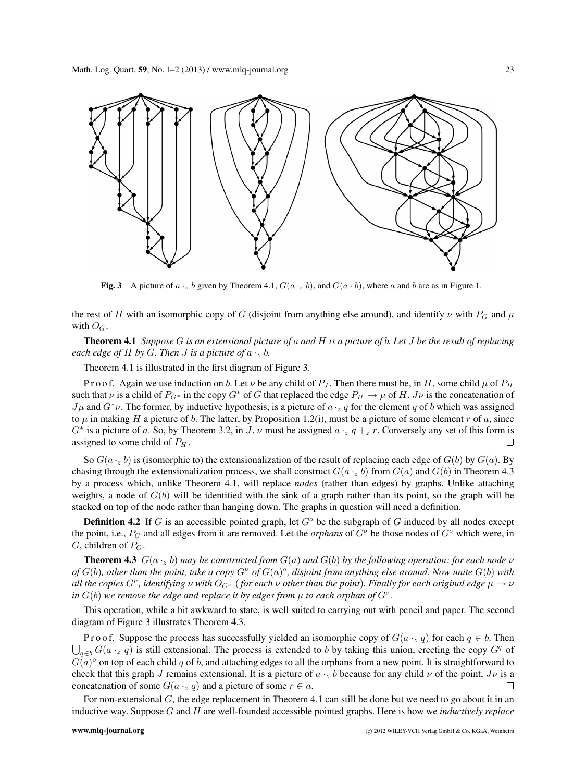

**Fig. 3** A picture of  $a \cdot z$  b given by Theorem 4.1,  $G(a \cdot z, b)$ , and  $G(a \cdot b)$ , where a and b are as in Figure 1.

the rest of H with an isomorphic copy of G (disjoint from anything else around), and identify  $\nu$  with  $P_G$  and  $\mu$ with  $O_G$ .

**Theorem 4.1** *Suppose* G *is an extensional picture of* a *and* H *is a picture of* b*. Let* J *be the result of replacing each edge of*  $H$  *by*  $G$ *. Then*  $J$  *is a picture of*  $a \cdot z$   $b$ *.* 

Theorem 4.1 is illustrated in the first diagram of Figure 3.

P r o o f. Again we use induction on b. Let  $\nu$  be any child of  $P_J$ . Then there must be, in H, some child  $\mu$  of  $P_H$ such that  $\nu$  is a child of  $P_{G*}$  in the copy  $G*$  of G that replaced the edge  $P_H \to \mu$  of H. J $\nu$  is the concatenation of  $J\mu$  and  $G^*\nu$ . The former, by inductive hypothesis, is a picture of  $a \cdot_z q$  for the element q of b which was assigned to  $\mu$  in making H a picture of b. The latter, by Proposition 1.2(i), must be a picture of some element r of a, since  $G^*$  is a picture of a. So, by Theorem 3.2, in J,  $\nu$  must be assigned  $a \cdot z q + z r$ . Conversely any set of this form is assigned to some child of  $P_H$ .  $\Box$ 

So  $G(a \cdot z b)$  is (isomorphic to) the extensionalization of the result of replacing each edge of  $G(b)$  by  $G(a)$ . By chasing through the extensionalization process, we shall construct  $G(a \cdot z b)$  from  $G(a)$  and  $G(b)$  in Theorem 4.3 by a process which, unlike Theorem 4.1, will replace *nodes* (rather than edges) by graphs. Unlike attaching weights, a node of  $G(b)$  will be identified with the sink of a graph rather than its point, so the graph will be stacked on top of the node rather than hanging down. The graphs in question will need a definition.

**Definition 4.2** If G is an accessible pointed graph, let  $G<sup>o</sup>$  be the subgraph of G induced by all nodes except the point, i.e.,  $P_G$  and all edges from it are removed. Let the *orphans* of  $G^o$  be those nodes of  $G^o$  which were, in  $G$ , children of  $P_G$ .

**Theorem 4.3**  $G(a \cdot z b)$  *may be constructed from*  $G(a)$  *and*  $G(b)$  *by the following operation: for each node*  $\nu$  $of G(b)$ , other than the point, take a copy  $G^{\nu}$  of  $G(a)^{o}$ , disjoint from anything else around. Now unite  $G(b)$  with *all the copies*  $G^{\nu}$ , *identifying*  $\nu$  *with*  $O_{G^{\nu}}$  (*for each*  $\nu$  *other than the point*). *Finally for each original edge*  $\mu \to \nu$ *in*  $G(b)$  *we remove the edge and replace it by edges from*  $\mu$  *to each orphan of*  $G^{\nu}$ *.* 

This operation, while a bit awkward to state, is well suited to carrying out with pencil and paper. The second diagram of Figure 3 illustrates Theorem 4.3.

P r o o f. Suppose the process has successfully yielded an isomorphic copy of  $G(a \cdot z q)$  for each  $q \in b$ . Then  $\bigcup_{q\in b} G(a \cdot_z q)$  is still extensional. The process is extended to b by taking this union, erecting the copy  $G^q$  of  $G(a)^\circ$  on top of each child q of b, and attaching edges to all the orphans from a new point. It is straightforward to check that this graph J remains extensional. It is a picture of  $a \cdot z$  b because for any child  $\nu$  of the point,  $J\nu$  is a concatenation of some  $G(a \cdot_z q)$  and a picture of some  $r \in a$ .  $\Box$ 

For non-extensional  $G$ , the edge replacement in Theorem 4.1 can still be done but we need to go about it in an inductive way. Suppose G and H are well-founded accessible pointed graphs. Here is how we *inductively replace*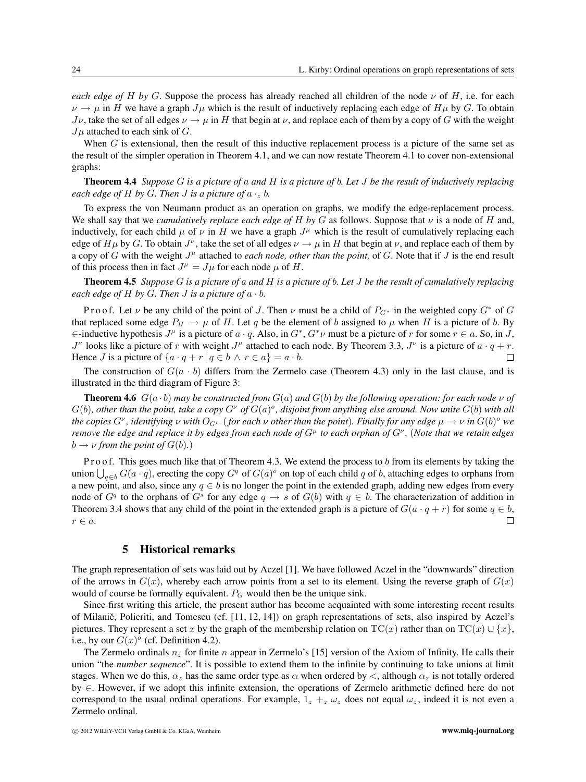*each edge of H by G*. Suppose the process has already reached all children of the node  $\nu$  of H, i.e. for each  $\nu \to \mu$  in H we have a graph  $J\mu$  which is the result of inductively replacing each edge of  $H\mu$  by G. To obtain  $J\nu$ , take the set of all edges  $\nu \rightarrow \mu$  in H that begin at  $\nu$ , and replace each of them by a copy of G with the weight  $J\mu$  attached to each sink of G.

When  $G$  is extensional, then the result of this inductive replacement process is a picture of the same set as the result of the simpler operation in Theorem 4.1, and we can now restate Theorem 4.1 to cover non-extensional graphs:

**Theorem 4.4** *Suppose* G *is a picture of* a *and* H *is a picture of* b*. Let* J *be the result of inductively replacing each edge of*  $H$  *by*  $G$ *. Then*  $J$  *is a picture of*  $a \cdot z$   $b$ *.* 

To express the von Neumann product as an operation on graphs, we modify the edge-replacement process. We shall say that we *cumulatively replace each edge of* H by G as follows. Suppose that  $\nu$  is a node of H and, inductively, for each child  $\mu$  of  $\nu$  in H we have a graph  $J^{\mu}$  which is the result of cumulatively replacing each edge of  $H\mu$  by G. To obtain  $J^{\nu}$ , take the set of all edges  $\nu \to \mu$  in H that begin at  $\nu$ , and replace each of them by a copy of G with the weight  $J^{\mu}$  attached to *each node, other than the point*, of G. Note that if J is the end result of this process then in fact  $J^{\mu} = J_{\mu}$  for each node  $\mu$  of H.

**Theorem 4.5** *Suppose* G *is a picture of* a *and* H *is a picture of* b*. Let* J *be the result of cumulatively replacing each edge of*  $H$  *by*  $G$ *. Then*  $J$  *is a picture of*  $a \cdot b$ *.* 

P r o o f. Let v be any child of the point of J. Then v must be a child of  $P_{G^*}$  in the weighted copy  $G^*$  of G that replaced some edge  $P_H \to \mu$  of H. Let q be the element of b assigned to  $\mu$  when H is a picture of b. By  $∈$ -inductive hypothesis  $J^{\mu}$  is a picture of  $a \cdot q$ . Also, in  $G^*$ ,  $G^*\nu$  must be a picture of r for some  $r \in a$ . So, in J,  $J^{\nu}$  looks like a picture of r with weight  $J^{\mu}$  attached to each node. By Theorem 3.3,  $J^{\nu}$  is a picture of  $a \cdot q + r$ . Hence *J* is a picture of  $\{a \cdot q + r \mid q \in b \land r \in a\} = a \cdot b$ .  $\Box$ 

The construction of  $G(a \cdot b)$  differs from the Zermelo case (Theorem 4.3) only in the last clause, and is illustrated in the third diagram of Figure 3:

**Theorem 4.6**  $G(a \cdot b)$  *may be constructed from*  $G(a)$  *and*  $G(b)$  *by the following operation: for each node*  $\nu$  *of*  $G(b)$ , other than the point, take a copy  $G^{\nu}$  of  $G(a)^{o}$ , disjoint from anything else around. Now unite  $G(b)$  with all *the copies*  $G^{\nu}$ *, identifying*  $\nu$  *with*  $O_{G^{\nu}}$  (*for each*  $\nu$  *other than the point*)*. Finally for any edge*  $\mu \to \nu$  *in*  $G(b)^{\circ}$  *we remove the edge and replace it by edges from each node of* G<sup>μ</sup> *to each orphan of* G<sup>ν</sup> *.* (*Note that we retain edges*  $b \rightarrow \nu$  *from the point of*  $G(b)$ *.*)

Pro of. This goes much like that of Theorem 4.3. We extend the process to  $b$  from its elements by taking the union  $\bigcup_{q\in b} G(a \cdot q)$ , erecting the copy  $G^q$  of  $G(a)^\circ$  on top of each child q of b, attaching edges to orphans from a new point, and also, since any  $q \in b$  is no longer the point in the extended graph, adding new edges from every node of  $G<sup>q</sup>$  to the orphans of  $G<sup>s</sup>$  for any edge  $q \to s$  of  $G(b)$  with  $q \in b$ . The characterization of addition in Theorem 3.4 shows that any child of the point in the extended graph is a picture of  $G(a \cdot q + r)$  for some  $q \in b$ ,  $\Box$  $r \in a$ .

#### **5 Historical remarks**

The graph representation of sets was laid out by Aczel [1]. We have followed Aczel in the "downwards" direction of the arrows in  $G(x)$ , whereby each arrow points from a set to its element. Using the reverse graph of  $G(x)$ would of course be formally equivalent.  $P_G$  would then be the unique sink.

Since first writing this article, the present author has become acquainted with some interesting recent results of Milanič, Policriti, and Tomescu (cf.  $[11, 12, 14]$ ) on graph representations of sets, also inspired by Aczel's pictures. They represent a set x by the graph of the membership relation on  $TC(x)$  rather than on  $TC(x) \cup \{x\}$ , i.e., by our  $G(x)^\circ$  (cf. Definition 4.2).

The Zermelo ordinals  $n<sub>z</sub>$  for finite n appear in Zermelo's [15] version of the Axiom of Infinity. He calls their union "the *number sequence*". It is possible to extend them to the infinite by continuing to take unions at limit stages. When we do this,  $\alpha_z$  has the same order type as  $\alpha$  when ordered by  $\lt$ , although  $\alpha_z$  is not totally ordered by ∈. However, if we adopt this infinite extension, the operations of Zermelo arithmetic defined here do not correspond to the usual ordinal operations. For example,  $1_z + z \omega_z$  does not equal  $\omega_z$ , indeed it is not even a Zermelo ordinal.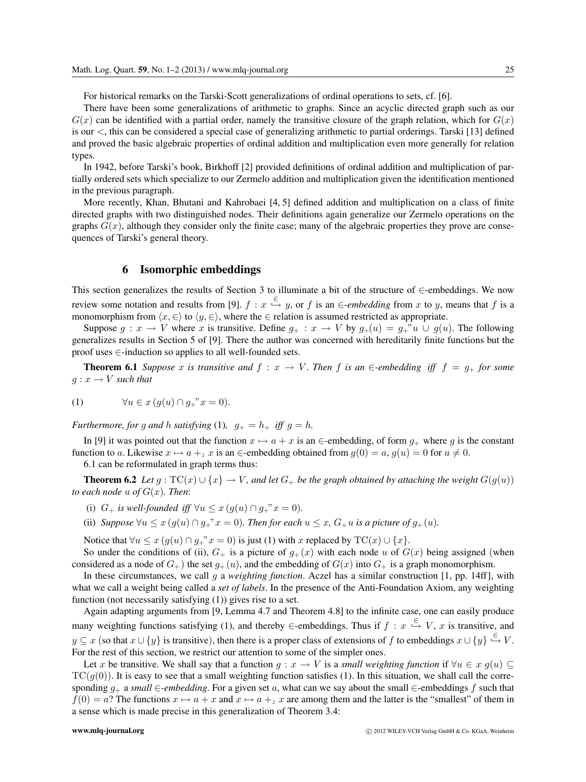For historical remarks on the Tarski-Scott generalizations of ordinal operations to sets, cf. [6].

There have been some generalizations of arithmetic to graphs. Since an acyclic directed graph such as our  $G(x)$  can be identified with a partial order, namely the transitive closure of the graph relation, which for  $G(x)$ is our <, this can be considered a special case of generalizing arithmetic to partial orderings. Tarski [13] defined and proved the basic algebraic properties of ordinal addition and multiplication even more generally for relation types.

In 1942, before Tarski's book, Birkhoff [2] provided definitions of ordinal addition and multiplication of partially ordered sets which specialize to our Zermelo addition and multiplication given the identification mentioned in the previous paragraph.

More recently, Khan, Bhutani and Kahrobaei [4, 5] defined addition and multiplication on a class of finite directed graphs with two distinguished nodes. Their definitions again generalize our Zermelo operations on the graphs  $G(x)$ , although they consider only the finite case; many of the algebraic properties they prove are consequences of Tarski's general theory.

#### **6 Isomorphic embeddings**

This section generalizes the results of Section 3 to illuminate a bit of the structure of ∈-embeddings. We now review some notation and results from [9].  $f : x \stackrel{\in}{\hookrightarrow} y$ , or f is an  $\in$ *-embedding* from x to y, means that f is a monomorphism from  $\langle x, \in \rangle$  to  $\langle y, \in \rangle$ , where the  $\in$  relation is assumed restricted as appropriate.

Suppose  $g: x \to V$  where x is transitive. Define  $g_+ : x \to V$  by  $g_+(u) = g_+^{\{v\}} u \cup g(u)$ . The following generalizes results in Section 5 of [9]. There the author was concerned with hereditarily finite functions but the proof uses ∈-induction so applies to all well-founded sets.

**Theorem 6.1** *Suppose* x *is transitive and*  $f : x \to V$ *. Then* f *is an* ∈*-embedding iff*  $f = g_+$  *for some*  $g: x \to V$  *such that* 

$$
(1) \qquad \forall u \in x \left( g(u) \cap g_{+}^{\quad \ *}x = 0 \right).
$$

*Furthermore, for* g and h *satisfying* (1),  $g_{+} = h_{+}$  *iff*  $g = h$ .

In [9] it was pointed out that the function  $x \mapsto a + x$  is an  $\in$ -embedding, of form  $g_+$  where g is the constant function to a. Likewise  $x \mapsto a + z$  is an  $\in$ -embedding obtained from  $g(0) = a$ ,  $g(u) = 0$  for  $u \neq 0$ .

6.1 can be reformulated in graph terms thus:

**Theorem 6.2** *Let*  $g : TC(x) \cup \{x\} \rightarrow V$ *, and let*  $G_+$  *be the graph obtained by attaching the weight*  $G(g(u))$ *to each node*  $u$  *of*  $G(x)$ *. Then:* 

- (i)  $G_{+}$  *is well-founded iff*  $\forall u \leq x (g(u) \cap g_{+}^{\dots} x = 0)$ *.*
- (ii) *Suppose*  $\forall u \leq x (g(u) \cap g_+^x x = 0)$ *. Then for each*  $u \leq x$ *,*  $G_+ u$  *is a picture of*  $g_+(u)$ *.*

Notice that  $\forall u \leq x \left( g(u) \cap g_{+}^{\alpha} x = 0 \right)$  is just (1) with x replaced by  $TC(x) \cup \{x\}$ .

So under the conditions of (ii),  $G_+$  is a picture of  $g_+(x)$  with each node u of  $G(x)$  being assigned (when considered as a node of  $G_+$ ) the set  $g_+(u)$ , and the embedding of  $G(x)$  into  $G_+$  is a graph monomorphism.

In these circumstances, we call g a *weighting function*. Aczel has a similar construction [1, pp. 14ff], with what we call a weight being called a *set of labels*. In the presence of the Anti-Foundation Axiom, any weighting function (not necessarily satisfying (1)) gives rise to a set.

Again adapting arguments from [9, Lemma 4.7 and Theorem 4.8] to the infinite case, one can easily produce many weighting functions satisfying (1), and thereby  $\in$ -embeddings. Thus if  $f : x \stackrel{\in}{\hookrightarrow} V$ , x is transitive, and  $y \subseteq x$  (so that  $x \cup \{y\}$  is transitive), then there is a proper class of extensions of f to embeddings  $x \cup \{y\} \stackrel{\in}{\hookrightarrow} V$ . For the rest of this section, we restrict our attention to some of the simpler ones.

Let x be transitive. We shall say that a function  $q : x \to V$  is a *small weighting function* if  $\forall u \in x$   $q(u) \subseteq$  $TC(g(0))$ . It is easy to see that a small weighting function satisfies (1). In this situation, we shall call the corresponding g<sup>+</sup> a *small* ∈*-embedding*. For a given set a, what can we say about the small ∈-embeddings f such that  $f(0) = a$ ? The functions  $x \mapsto a + x$  and  $x \mapsto a + z$  are among them and the latter is the "smallest" of them in a sense which is made precise in this generalization of Theorem 3.4: